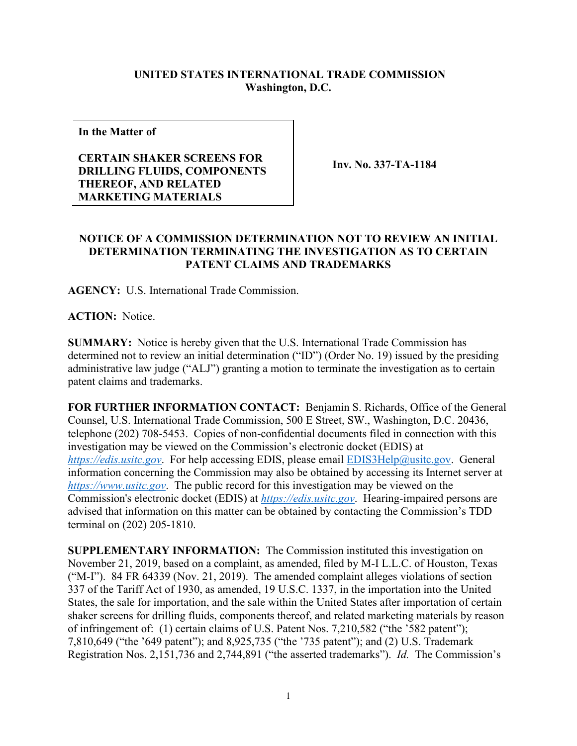## **UNITED STATES INTERNATIONAL TRADE COMMISSION Washington, D.C.**

**In the Matter of**

## **CERTAIN SHAKER SCREENS FOR DRILLING FLUIDS, COMPONENTS THEREOF, AND RELATED MARKETING MATERIALS**

**Inv. No. 337-TA-1184**

## **NOTICE OF A COMMISSION DETERMINATION NOT TO REVIEW AN INITIAL DETERMINATION TERMINATING THE INVESTIGATION AS TO CERTAIN PATENT CLAIMS AND TRADEMARKS**

**AGENCY:** U.S. International Trade Commission.

**ACTION:** Notice.

**SUMMARY:** Notice is hereby given that the U.S. International Trade Commission has determined not to review an initial determination ("ID") (Order No. 19) issued by the presiding administrative law judge ("ALJ") granting a motion to terminate the investigation as to certain patent claims and trademarks.

**FOR FURTHER INFORMATION CONTACT:** Benjamin S. Richards, Office of the General Counsel, U.S. International Trade Commission, 500 E Street, SW., Washington, D.C. 20436, telephone (202) 708-5453. Copies of non-confidential documents filed in connection with this investigation may be viewed on the Commission's electronic docket (EDIS) at *[https://edis.usitc.gov](https://edis.usitc.gov/)*. For help accessing EDIS, please email [EDIS3Help@usitc.gov.](mailto:EDIS3Help@usitc.gov) General information concerning the Commission may also be obtained by accessing its Internet server at *[https://www.usitc.gov](https://www.usitc.gov/)*. The public record for this investigation may be viewed on the Commission's electronic docket (EDIS) at *[https://edis.usitc.gov](https://edis.usitc.gov/)*. Hearing-impaired persons are advised that information on this matter can be obtained by contacting the Commission's TDD terminal on (202) 205-1810.

**SUPPLEMENTARY INFORMATION:** The Commission instituted this investigation on November 21, 2019, based on a complaint, as amended, filed by M-I L.L.C. of Houston, Texas ("M-I"). 84 FR 64339 (Nov. 21, 2019). The amended complaint alleges violations of section 337 of the Tariff Act of 1930, as amended, 19 U.S.C. 1337, in the importation into the United States, the sale for importation, and the sale within the United States after importation of certain shaker screens for drilling fluids, components thereof, and related marketing materials by reason of infringement of: (1) certain claims of U.S. Patent Nos. 7,210,582 ("the '582 patent"); 7,810,649 ("the '649 patent"); and 8,925,735 ("the '735 patent"); and (2) U.S. Trademark Registration Nos. 2,151,736 and 2,744,891 ("the asserted trademarks"). *Id.* The Commission's